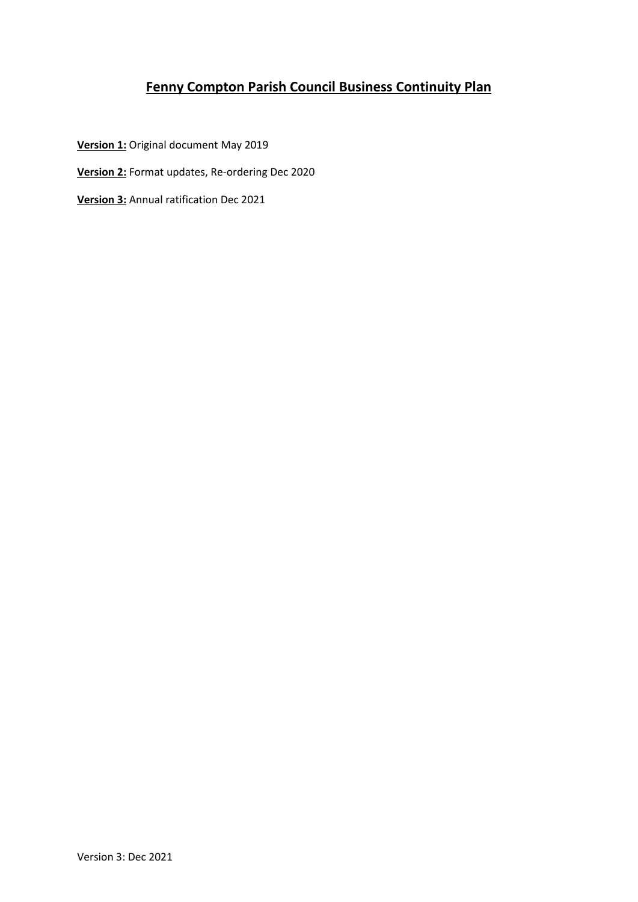# **Fenny Compton Parish Council Business Continuity Plan**

**Version 1:** Original document May 2019

- **Version 2:** Format updates, Re-ordering Dec 2020
- **Version 3:** Annual ratification Dec 2021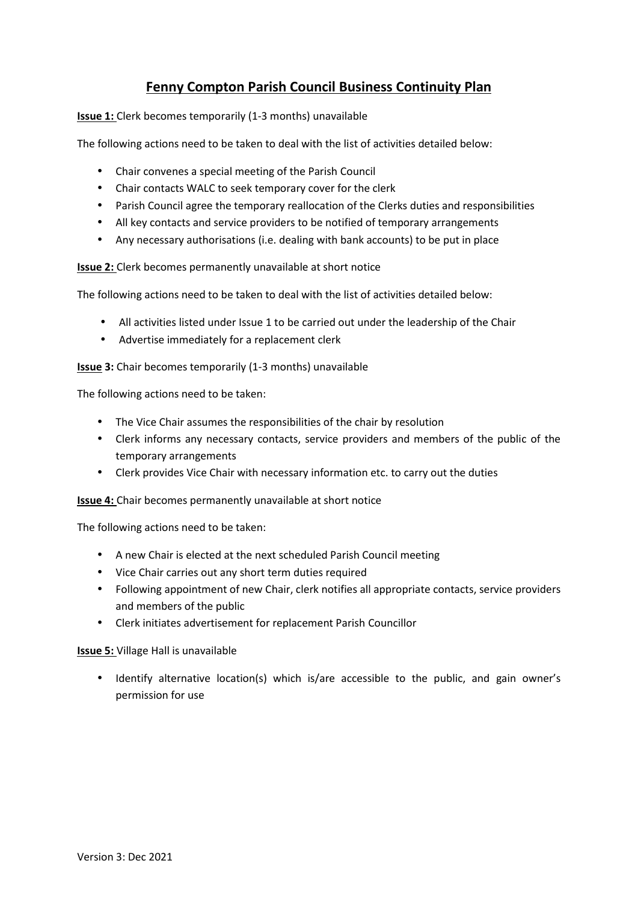## **Fenny Compton Parish Council Business Continuity Plan**

**Issue 1:** Clerk becomes temporarily (1-3 months) unavailable

The following actions need to be taken to deal with the list of activities detailed below:

- Chair convenes a special meeting of the Parish Council
- Chair contacts WALC to seek temporary cover for the clerk
- Parish Council agree the temporary reallocation of the Clerks duties and responsibilities
- All key contacts and service providers to be notified of temporary arrangements
- Any necessary authorisations (i.e. dealing with bank accounts) to be put in place

**Issue 2:** Clerk becomes permanently unavailable at short notice

The following actions need to be taken to deal with the list of activities detailed below:

- All activities listed under Issue 1 to be carried out under the leadership of the Chair
- Advertise immediately for a replacement clerk

**Issue 3:** Chair becomes temporarily (1-3 months) unavailable

The following actions need to be taken:

- The Vice Chair assumes the responsibilities of the chair by resolution
- Clerk informs any necessary contacts, service providers and members of the public of the temporary arrangements
- Clerk provides Vice Chair with necessary information etc. to carry out the duties

**Issue 4:** Chair becomes permanently unavailable at short notice

The following actions need to be taken:

- A new Chair is elected at the next scheduled Parish Council meeting
- Vice Chair carries out any short term duties required
- Following appointment of new Chair, clerk notifies all appropriate contacts, service providers and members of the public
- Clerk initiates advertisement for replacement Parish Councillor

**Issue 5:** Village Hall is unavailable

 Identify alternative location(s) which is/are accessible to the public, and gain owner's permission for use